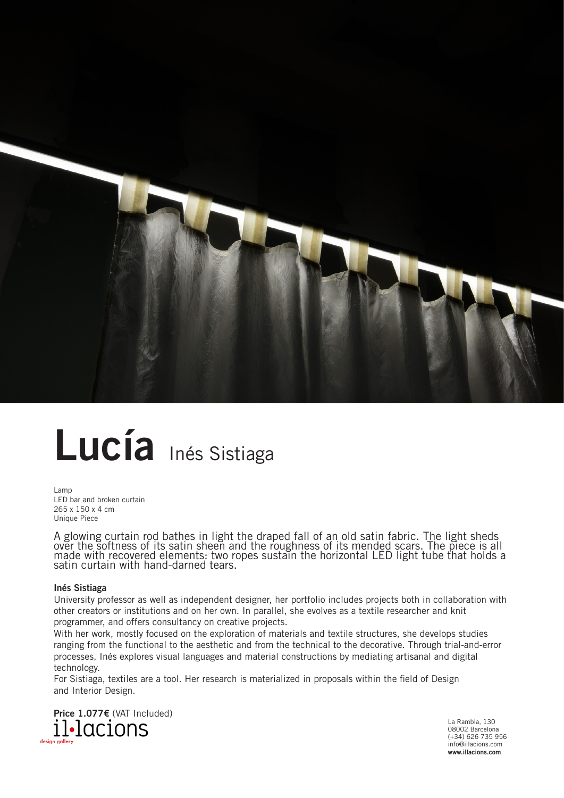

## **Lucía** Inés Sistiaga

Lamp LED bar and broken curtain 265 x 150 x 4 cm Unique Piece

A glowing curtain rod bathes in light the draped fall of an old satin fabric. The light sheds over the softness of its satin sheen and the roughness of its mended scars. The piece is all made with recovered elements: two ropes sustain the horizontal LED light tube that holds a satin curtain with hand-darned tears.

## **Inés Sistiaga**

University professor as well as independent designer, her portfolio includes projects both in collaboration with other creators or institutions and on her own. In parallel, she evolves as a textile researcher and knit programmer, and offers consultancy on creative projects.

With her work, mostly focused on the exploration of materials and textile structures, she develops studies ranging from the functional to the aesthetic and from the technical to the decorative. Through trial-and-error processes, Inés explores visual languages and material constructions by mediating artisanal and digital technology.

For Sistiaga, textiles are a tool. Her research is materialized in proposals within the field of Design and Interior Design.



La Rambla, 130 08002 Barcelona (+34) 626 735 956 info@illacions.com **www.illacions.com**